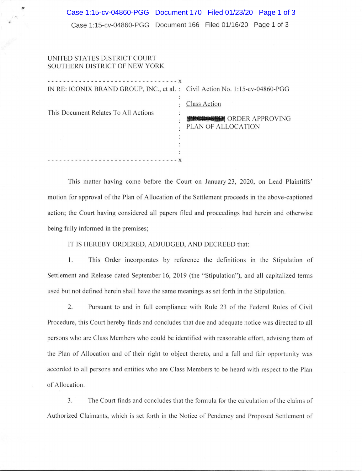Case 1:15-cv-04860-PGG Document 166 Filed 01/16/20 Page 1 of 3

## UNITED STATES DISTRICT COURT SOUTHERN DISTRICT OF NEW YORK

a

| IN RE: ICONIX BRAND GROUP, INC., et al.: Civil Action No. 1:15-cv-04860-PGG |                                                                        |
|-----------------------------------------------------------------------------|------------------------------------------------------------------------|
| This Document Relates To All Actions                                        | Class Action<br><b>PROPOSIBL</b> ORDER APPROVING<br>PLAN OF ALLOCATION |
|                                                                             |                                                                        |
|                                                                             |                                                                        |
|                                                                             |                                                                        |

This matter having come before the Court on January 23, 2020, on Lead Plaintiffs' motion for approval of the Plan of Allocation of the Settlement proceeds in the above-captioned action; the Court having considered all papers filed and proceedings had herein and otherwise being fully informed in the premises;

IT IS HEREBY ORDERED, ADJUDGED, AND DECREED that:

1. This Order incorporates by reference the definitions in the Stipulation of Settlement and Release dated September 16, 2019 (the "Stipulation"), and all capitalized terms used but not defined herein shall have the same meanings as set forth in the Stipulation.

2. Pursuant to and in full compliance with Rule 23 of the Federal Rules of Civil Procedure, this Court hereby finds and concludes that due and adequate notice was directed to all persons who are Class Members who could be identified with reasonable effort, advising them of the Plan of Allocation and of their right to object thereto, and a full and fair opportunity was accorded to all persons and entities who are Class Members to be heard with respect to the Plan of Allocation.

3. The Court finds and concludes that the formula for the calculation of the claims of Authorized Claimants, which is set forth in the Notice of Pendency and Proposed Settlement of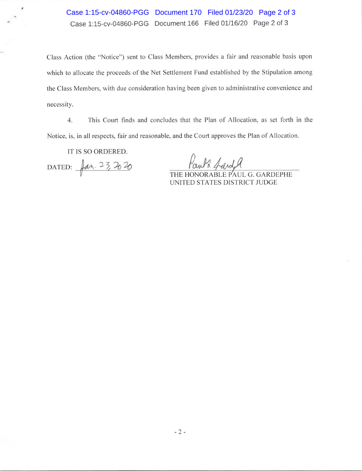## Case 1:15-cv-04860-PGG Document 170 Filed 01/23/20 Page 2 of 3 Case 1:15-cv-04860-PGG Document 166 Filed 01/16/20 Page 2 of 3

Class Action (the "Notice") sent to Class Members, provides a fair and reasonable basis upon which to allocate the proceeds of the Net Settlement Fund established by the Stipulation among the Class Members, with due consideration having been given to administrative convenience and necessity.

 $4.$ This Court finds and concludes that the Plan of Allocation, as set forth in the Notice, is, in all respects, fair and reasonable, and the Court approves the Plan of Allocation.

IT IS SO ORDERED.

DATED: Jan. 23, 2020

**ABLE PAUL G. GARDEPHE** THE HC UNITED STATES DISTRICT JUDGE